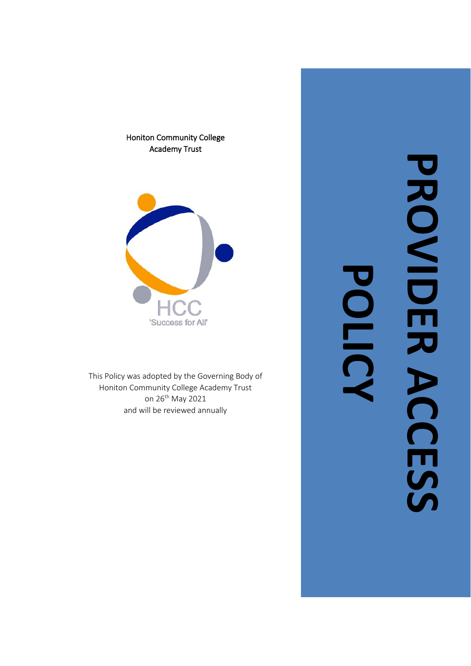Honiton Community College Academy Trust



This Policy was adopted by the Governing Body of Honiton Community College Academy Trust on 26<sup>th</sup> May 2021 and will be reviewed annually

**PROVIDER ACCESS** PROVIDER ACCESS **POLIC**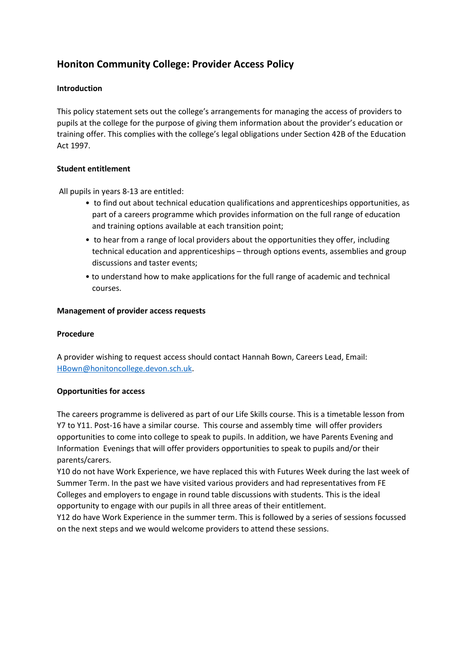# **Honiton Community College: Provider Access Policy**

## **Introduction**

This policy statement sets out the college's arrangements for managing the access of providers to pupils at the college for the purpose of giving them information about the provider's education or training offer. This complies with the college's legal obligations under Section 42B of the Education Act 1997.

### **Student entitlement**

All pupils in years 8-13 are entitled:

- to find out about technical education qualifications and apprenticeships opportunities, as part of a careers programme which provides information on the full range of education and training options available at each transition point;
- to hear from a range of local providers about the opportunities they offer, including technical education and apprenticeships – through options events, assemblies and group discussions and taster events;
- to understand how to make applications for the full range of academic and technical courses.

### **Management of provider access requests**

#### **Procedure**

A provider wishing to request access should contact Hannah Bown, Careers Lead, Email: [HBown@honitoncollege.devon.sch.uk.](mailto:HBown@honitoncollege.devon.sch.uk)

### **Opportunities for access**

The careers programme is delivered as part of our Life Skills course. This is a timetable lesson from Y7 to Y11. Post-16 have a similar course. This course and assembly time will offer providers opportunities to come into college to speak to pupils. In addition, we have Parents Evening and Information Evenings that will offer providers opportunities to speak to pupils and/or their parents/carers.

Y10 do not have Work Experience, we have replaced this with Futures Week during the last week of Summer Term. In the past we have visited various providers and had representatives from FE Colleges and employers to engage in round table discussions with students. This is the ideal opportunity to engage with our pupils in all three areas of their entitlement.

Y12 do have Work Experience in the summer term. This is followed by a series of sessions focussed on the next steps and we would welcome providers to attend these sessions.